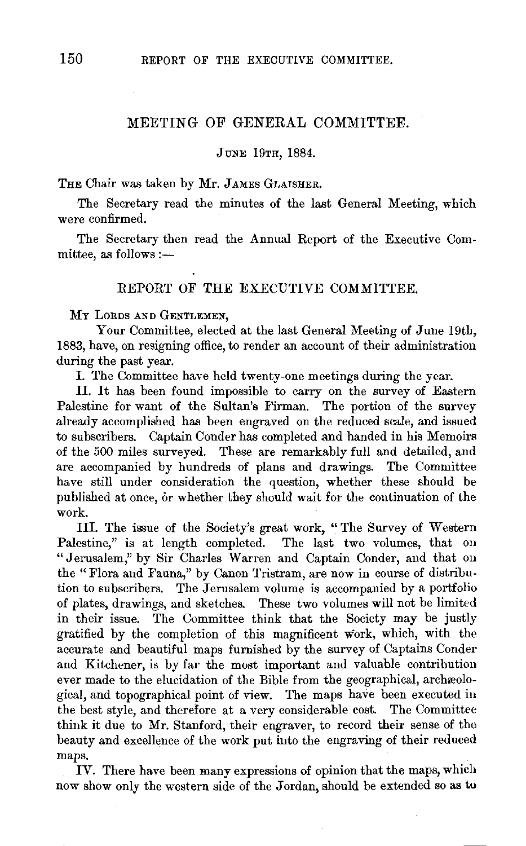## MEETING OF GENERAL COMMITTEE.

## JUNE 19TH, 1884.

THE Chair was taken by Mr. JAMES GLAISHER.

The Secretary read the minutes of the last General Meeting, which were confirmed.

The Secretary then read the Annual Report of the Executive Com $mittee$ , as follows :-

## REPORT OF THE EXECUTIVE COMMITTEE.

MY LORDS AND GENTLEMEN,

Your Committee, elected at the last General Meeting of June 19th, 1883, have, on resigning office, to render an account of their administration during the past year.

I. The Committee have held twenty-one meetings during the year.

II. It has been found impossible to carry on the survey of Eastern Palestine for want of the Sultan's Firman. The portion of the survey already accomplished has been engraved on the reduced scale, and issued to subscribers. Captain Conder has completed and handed in his Memoirs of the 500 miles surveyed. These are remarkably full and detailed, and are accompanied by hundreds of plans and drawings. The Committee have still under consideration the question, whether these should be published at once, or whether they should wait for the continuation of the work.

Ill. The issue of the Society's great work, "The Survey of Western Palestine," is at length completed. The last two volumes, that on "Jerusalem," by Sir Charles Warren and Captain Conder, and that on the "Flora and Fauna," by Canon Tristram, are now in course of distribution to subscribers. The Jerusalem volume is accompanied by a portfolio of plates, drawings, and sketches. These two volumes will not be limited in their issue. The Committee think that the Society may be justly gratified by the completion of this magnificent work, which, with the accurate and beautiful maps furnished by the survey of Captains Conder and Kitchener, is by far the most important and valuable contribution ever made to the elucidation of the Bible from the geographical, archaeological, and topographical point of view. The maps have been executed in the best style, and therefore at a very considerable cost. The Committee think it due to Mr. Stanford, their engraver, to record their sense of the beauty and excellence of the work put into the engraving of their reduced maps.

IV. There have been many expressions of opinion that the maps, which now show only the western side of the Jordan, should be extended so as to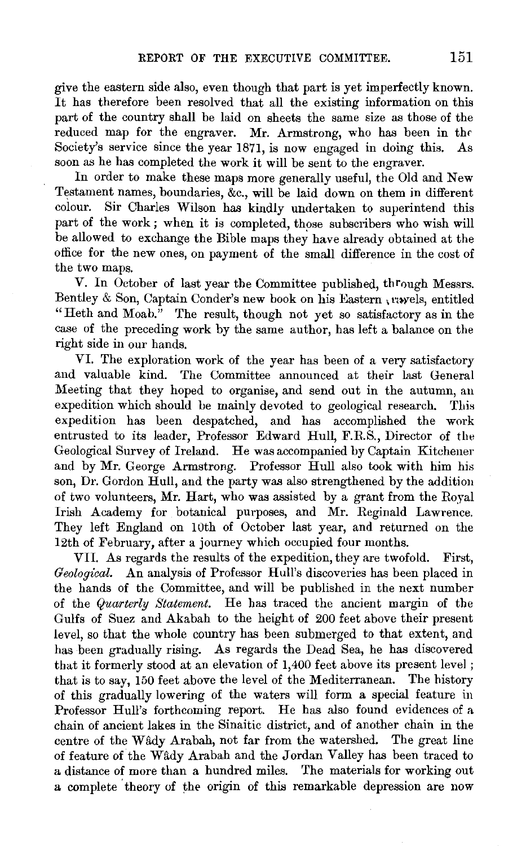give the eastern side also, even though that part is yet imperfectly known. It has therefore been resolved that all the existing information on this part of the country shall be laid on sheets the same size as those of the reduced map for the engraver. Mr. Armstrong, who has been in thr Society's service since the year 1871, is now engaged in doing this. As soon as he has completed the work it will be sent to the engraver.

In order to make these maps more generally useful, the Old and New Testament names, boundaries,  $\&c.,$  will be laid down on them in different colour. Sir Charles Wilson has kindly undertaken to superintend this part of the work; when it is completed, those subscribers who wish will be allowed to exchange the Bible maps they have already obtained at the office for the new ones, on payment of the small difference in the cost of the two maps.

V. In October of last year the Committee published, through Messrs. Bentley & Son, Captain Conder's new book on his Eastern , myels, entitled "Heth and Moab." The result, though not yet so satisfactory as in the case of the preceding work by the same author, has left a balance on the right side in our hands.

VI. The exploration work of the year has been of a very satisfactory and valuable kind. The Committee announced at their last General Meeting that they hoped to organise, and send out in the autumn, an expedition which should be mainly devoted to geological research. This expedition has been despatched, and has accomplished the work entrusted to its leader, Professor Edward Hull, F.R.S., Director of the Geological Survey of Ireland. He was accompanied by Captain Kitchener and by Mr. George Armstrong. Professor Hull also took with him his son, Dr. Gordon Hull, and the party was also strengthened by the addition of two volunteers, Mr. Hart, who was assisted by a grant from the Royal Irish Academy for botanical purposes, and Mr. Reginald Lawrence. They left England on 10th of October last year, and returned on the 12th of February, after a journey which occupied four months.

VII. As regards the results of the expedition, they are twofold. First, *Geological.* An analysis of Professor Hull's discoveries has been placed in the hands of the Committee, and will be published in the next number of the *Quarterly Statement.* He has traced the ancient margin of the Gulfs of Suez and Akabah to the height of 200 feet above their present level, so that the whole country has been submerged to that extent, and has been gradually rising. As regards the Dead Sea, he has discovered that it formerly stood at an elevation of 1,400 feet above its present level ; that is to say, 150 feet above the level of the Mediterranean. The history of this gradually lowering of the waters will form a special feature in Professor Hull's forthcoming report. He has also found evidences of a chain of ancient lakes in the Sinaitic district, and of another chain in the centre of the Wildy Arabah, not far from the watershed. The great line of feature of the Wâdy Arabah and the Jordan Valley has been traced to a distance of more than a hundred miles. The materials for working out a complete theory of the origin of this remarkable depression are now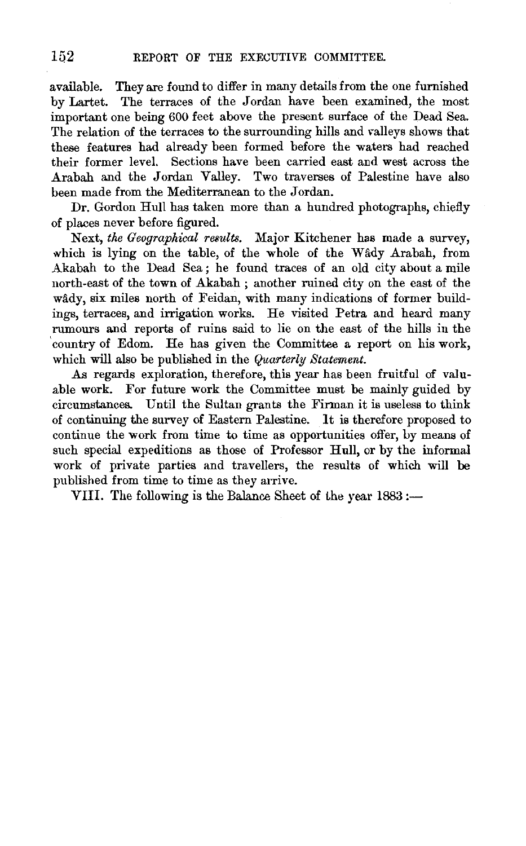available. They are found to differ in many details from the one furnished by Lartet. The terraces of the Jordan have been examined, the most important one being 600 feet above the present surface of the Dead Sea. The relation of the terraces to the surrounding hills and valleys shows that these features had already been formed before the waters had reached their former level. Sections have been carried east and west across the Arabah and the Jordan Valley. Two traverses of Palestine have also been made from the Mediterranean to the Jordan.

Dr. Gordon Hull has taken more than a hundred photographs, chiefly of places never before figured.

Next, *the Geographical results.* Major Kitchener has made a survey, which is lying on the table, of the whole of the Wady Arabah, from Akabah to the Dead Sea ; he found traces of an old city about a mile north-east of the town of Akabah; another ruined city on the east of the wâdy, six miles north of Feidan, with many indications of former buildings, terraces, and irrigation works. He visited Petra and heard many rumours and reports of ruins said to lie on the east of the hills in the 'country of Edom. He has given the Committee a report on his work, which will also be published in the *Quarterly Statement.* 

As regards exploration, therefore, this year has been fruitful of valuable work. For future work the Committee must be mainly guided by circumstances. Until the Sultan grants the Firman it is useless to think of continuing the survey of Eastern Palestine. It is therefore proposed to continue the work from time to time as opportunities offer, by means of such special expeditions as those of Professor Hull, or by the informal work of private parties and travellers, the results of which will be published from time to time as they arrive.

VIII. The following is the Balance Sheet of the year 1883 :-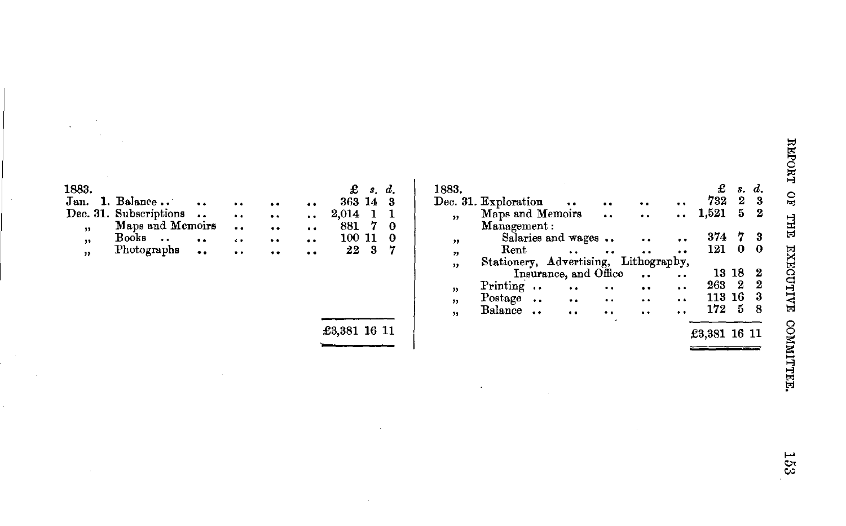| 1883. |                        |     |                      |                      |                      | $\mathbf{\pounds}$ s.d. |
|-------|------------------------|-----|----------------------|----------------------|----------------------|-------------------------|
| Jan.  | 1. Balance             |     | $\ddot{\bullet}$     | . .                  |                      | 363 14<br>-3            |
|       | Dec. 31. Subscriptions |     | $\ddot{\bullet}$     | $\ddot{\phantom{a}}$ | $\ddot{\phantom{a}}$ | 2,014                   |
| ,,    | Maps and Memoirs       |     | $\ddot{\phantom{a}}$ | $\ddot{\phantom{a}}$ |                      | 881<br>0                |
| ,     | Books<br>. .           | . . | $\ddot{\phantom{0}}$ | $\ddot{\phantom{a}}$ | $\ddot{\phantom{a}}$ | 100 11                  |
| "     | Photographs            |     |                      | $\bullet$            | . .                  | 22                      |

£3,381 16 11

 $\epsilon$ 

| 1883.                   |                                       |                       |  | £      |     | s. d. |
|-------------------------|---------------------------------------|-----------------------|--|--------|-----|-------|
|                         | Dec. 31. Exploration                  |                       |  | 732    | 2   | - 3   |
| $\overline{\mathbf{3}}$ | Maps and Memoirs                      |                       |  | 1,521  | 5   | -2    |
| ,,                      | Management:                           | Salaries and wages    |  | 374    | 7   | 3     |
| ,,                      | Rent                                  |                       |  | 121    | 0   | 0     |
| ,,                      | Stationery, Advertising, Lithography, | Insurance, and Office |  | 13.    | -18 | 2     |
| ,,                      | Printing                              | $\ddot{\phantom{a}}$  |  | 263    | 2   | -2    |
| ,,                      | Postage                               | $\ddot{\phantom{a}}$  |  | 113 16 |     | 3     |
| "                       | Balance                               |                       |  | 172    | 5   | 8     |
|                         |                                       |                       |  |        |     |       |

 $\mathcal{L}$  $\mathbf{S}$  $\vec{H}$  $\mathcal{L}^{\text{M}}$ ~ .<br>د ~  $\ddot{z}$  .  $\frac{1}{2}$ 

 $\frac{1}{2}$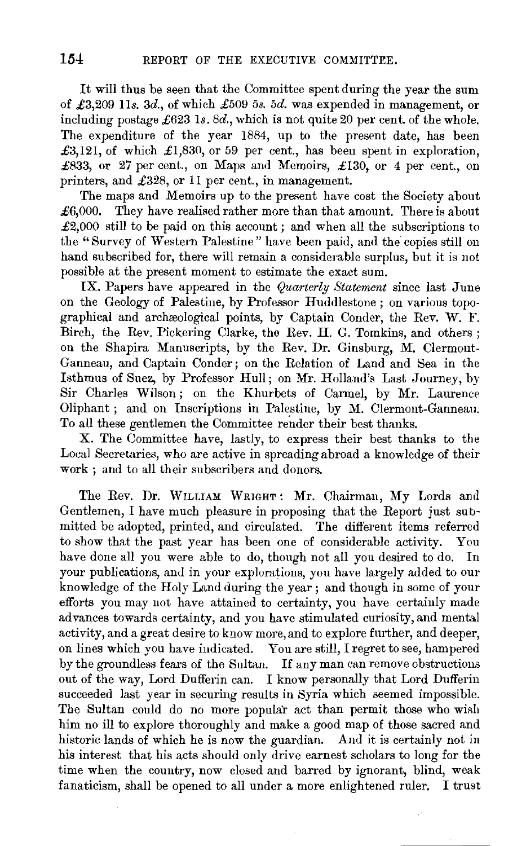It will thus be seen that the Committee spent during the year the sum of £3,209 lls. *3d.,* of which £509 *5s. 5d.* was expended in management, or including postage £623 Is. *8d.,* which is not quite 20 per cent. of the whole. The expenditure of the year 1884, up to the present date, has been £3,121, of which £1,830, or 59 per cent., has been spent in exploration, £833, or 27 per cent., on Maps and Memoirs, £130, or 4 per cent., on printers, and £328, or 11 per cent., in management.

The maps and Memoirs up to the present have cost the Society about  $£6,000.$  They have realised rather more than that amount. There is about  $\pounds2,000$  still to be paid on this account; and when all the subscriptions to the "Survey of Western Palestine" have been paid, and the copies still on hand subscribed for, there will remain a considerable surplus, but it is not possible at the present moment to estimate the exact sum.

IX. Papers have appeared in the *Quarterly Statement* since last June on the Geology of Palestine, by Professor Huddlestone ; on various topographical and archaeological points, by Captain Conder, the Rev. W. F. Birch, the Rev. Pickering Clarke, the Rev. **H.** G. Tomkins, and others ; on the Shapira Manuscripts, by the Rev. Dr. Ginsburg, M. Clermont-Ganneau, and Captain Conder; on the Relation of Land and Sea in the Isthmus of Suez, by Professor Hull; on Mr. Holland's Last Journey, by Sir Charles Wilson; on the Khurbets of Carmel, by Mr. Laurence Oliphant ; and on Inscriptions in Palestine, by M. Clermont-Ganneau. To all these gentlemen the Committee render their best thanks.

X. The Committee have, lastly, to express their best thanks to the Local Secretaries, who are active in spreading abroad a knowledge of their work ; and to all their subscribers and donors.

The Rev. **Dr.** WILLIAM WRIGHT: Mr. Chairman, My Lords and Gentlemen, I have much pleasure in proposing that the Report just submitted be adopted, printed, and circulated. The different items referred to show that the past year has been one of considerable activity. You have done all you were able to do, though not all you desired to do. In your publications, and in your explorations, you have largely added to our knowledge of the Holy Land during the year ; and though in some of your efforts you may not have attained to certainty, you have certainly made advances towards certainty, and you have stimulated curiosity, and mental activity, and a great desire to know more, and to explore further, and deeper, on lines which you have indicated. You are still, I regret to see, hampered by the groundless fears of the Sultan. If any man can remove obstructions out of the way, Lord Dufferin can. I know personally that Lord Dufferin succeeded last year in securing results in Syria which seemed impossible. The Sultan could do no more popular act than permit those who wish him no ill to explore thoroughly and make a good map of those sacred and historic lands of which he is now the guardian. And it is certainly not in his interest that his acts should only drive earnest scholars to long for the time when the country, now closed and barred by ignorant, blind, weak fanaticism, shall be opened to all under a more enlightened ruler. I trust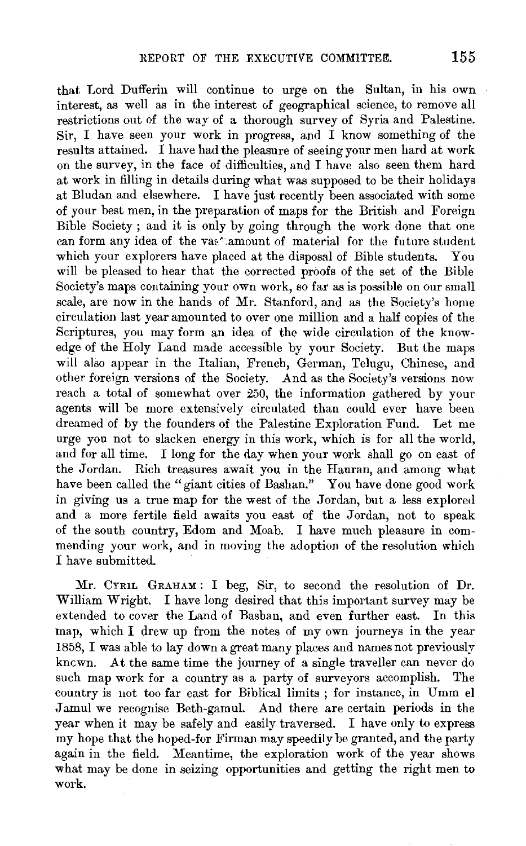that Lord Dufferin will continue to urge on the Sultan, in his own interest, as well as in the interest of geographical science, to remove all restrictions out of the way of a thorough survey of Syria and Palestine. Sir, I have seen your work in progress, and I know something of the results attained. I have had the pleasure of seeing your men hard at work on the survey, in the face of difficulties, and I have also seen them hard at work in filling in details during what was supposed to be their holidays at Bludan and elsewhere. I have just recently been associated with some of your best men, in the preparation of maps for the British and Foreign Bible Society ; and it is only by going through the work done that one can form any idea of the vas \*: amount of material for the future student which your explorers have placed at the disposal of Bible students. You will be pleased to hear that the corrected proofs of the set of the Bible Society's maps containing your own work, so far as is possible on our small scale, are now in the hands of Mr. Stanford, and as the Society's home circulation last year amounted to over one million and a half copies of the Scriptures, you may form an idea of the wide circulation of the knowedge of the Holy Land made accessible by your Society. But the maps will also appear in the Italian, French, German, Telugu, Chinese, and other foreign versions of the Society. And as the Society's versions now reach a total of somewhat over 250, the information gathered by your agents will be more extensively circulated than could ever have been dreamed of by the founders of the Palestine Exploration Fund. Let me urge you not to slacken energy in this work, which is for all the world, and for all time. I long for the day when your work shall go on east of the Jordan. Rich treasures await you in the Hauran, and among what have been called the "giant cities of Bashan." You have done good work in giving us a true map for the west of the Jordan, but a less explored and a more fertile field awaits you east of the Jordan, not to speak of the south country, Edom and Moab. I have much pleasure in commending your work, and in moving the adoption of the resolution which I have submitted.

Mr. CYRIL GRAHAM : I beg, Sir, to second the resolution of Dr. William Wright. I have long desired that this important survey may be extended to cover the Land of Bashan, and even further east. In this map, which I drew up from the notes of my own journeys in the year 1858, I was able to lay down a great many places and names not previously kncwn. At the same time the journey of a single traveller can never do such map work for a country as a party of surveyors accomplish. The country is not too far east for Biblical limits ; for instance, in Umm el Jamul we recognise Beth-gamul. And there are certain periods in the year when it may be safely and easily traversed. I have only to express my hope that the hoped-for Firman may speedily be granted, and the party again in the field. Meantime, the exploration work of the year shows what may be done in seizing opportunities and getting the right men to work.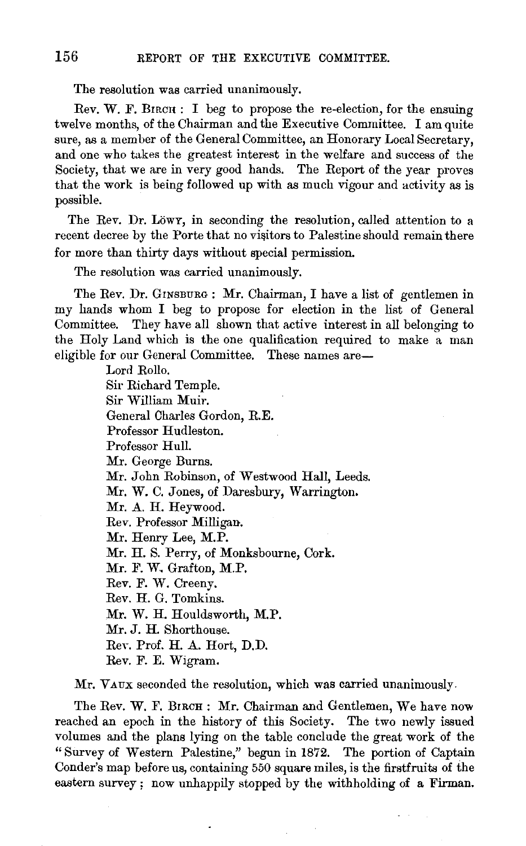The resolution was carried unanimously.

Rev. W. F. BIRCH: I beg to propose the re-election, for the ensuing twelve months, of the Chairman and the Executive Committee. I am quite sure, as a member of the General Committee, an Honorary Local Secretary, and one who takes the greatest interest in the welfare and success of the Society, that we are in very good hands. The Report of the year proves that the work is being followed up with as much vigour and activity as is possible.

The Rev. Dr. Löwr, in seconding the resolution, called attention to a recent decree by the Porte that no visitors to Palestine should remain there for more than thirty days without special permission.

The resolution was carried unanimously.

The Rev. Dr. GINSBURG : Mr. Chairman, I have a list of gentlemen in my hands whom I beg to propose for election in the list of General Committee. They have all shown that active interest in all belonging to the Holy Land which is the one qualification required to make a man eligible for our General Committee. These names are-

> Lord Rollo. Sir Richard Temple. Sir William Muir. General Charles Gordon, R.E. Professor Hudleston. Professor Hull. Mr. George Burns. Mr. John Robinson, of Westwood Hall, Leeds. Mr. W. C. Jones, of Daresbury, Warrington. Mr. A. H. Heywood. Rev. Professor Milligan. Mr. Henry Lee, M.P. Mr. H. S. Perry, of Monksbourne, Cork. Mr. F. W. Grafton, M.P. Rev. F. W. Creeny. Rev. H. G. Tomkins. Mr. W. H. Houldsworth, M.P. Mr. J. H. Shorthouse. Rev. Prof. H. A. Hort, D.D. Rev. F. E. Wigram.

Mr. VAUX seconded the resolution, which was carried unanimously.

The Rev. W. F. BIRCH : Mr. Chairman and Gentlemen, We have now reached an epoch in the history of this Society. The two newly issued volumes and the plans lying on the table conclude the great work of the " Survey of Western Palestine," begun in 1872. The portion of Captain Conder's map before us, containing 550 square miles, is the firstfruits of the eastern survey ; now unhappily stopped by the withholding of a Firman.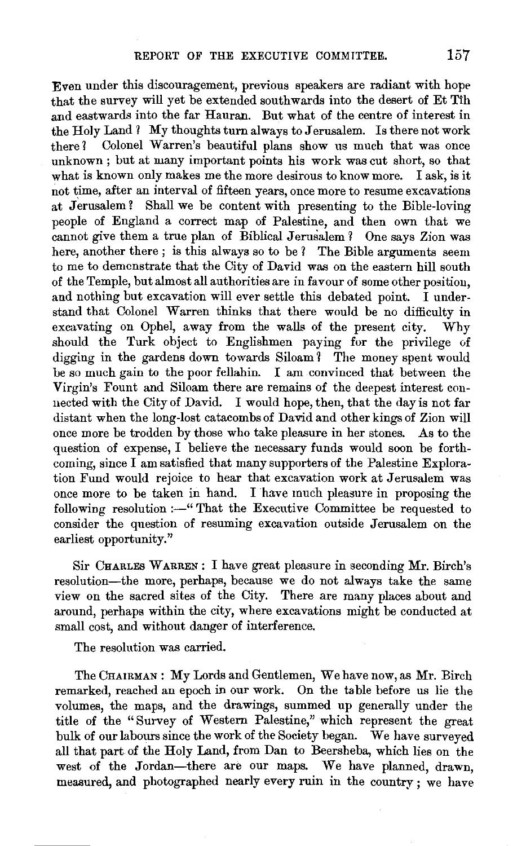Even under this discouragement, previous speakers are radiant with hope that the survey will yet be extended southwards into the desert of Et Tih and eastwards into the far Hauran. But what of the centre of interest in the Holy Land 1 My thoughts turn always to Jerusalem. Is there not work there? Colonel Warren's beautiful plans show us much that was once unknown ; but at many important points his work was cut short, so that what is known only makes me the more desirous to know more. I ask, is it not time, after an interval of fifteen years, once more to resume excavations at Jerusalem? Shall we be content with presenting to the Bible-loving people of England a correct map of Palestine, and then own that we cannot give them a true plan of Biblical Jerusalem 1 One says Zion was here, another there; is this always so to be ? The Bible arguments seem to me to demonstrate that the City of David was on the eastern hill south of the Temple, but almost all authorities are in favour of some other position, and nothing but excavation will ever settle this debated point. I understand that Colonel Warren thinks that there would be no difficulty in  $excavating$  on Ophel, away from the walls of the present city. Why should the Turk object to Englishmen paying for the privilege of digging in the gardens down towards Siloam? The money spent would be so much gain to the poor fellahin. I am convinced that between the Virgin's Fount and Siloam there are remains of the deepest interest connected with the City of David. I would hope, then, that the day is not far distant when the long-lost catacombs of David and other kings of Zion will once more be trodden by those who take pleasure in her stones. As to the question of expense, I believe the necessary funds would soon be forthcoming, since I am satisfied that many supporters of the Palestine Exploration Fund would rejoice to hear that excavation work at Jerusalem was once more to be taken in hand. I have much pleasure in proposing the following resolution:-" That the Executive Committee be requested to consider the question of resuming excavation outside Jerusalem on the earliest opportunity."

Sir CHARLES WARREN : I have great pleasure in seconding Mr. Birch's resolution-the more, perhaps, because we do not always take the same view on the sacred sites of the City. There are many places about and around, perhaps within the city, where excavations might be conducted at small cost, and without danger of interference.

The resolution was carried.

The CHAIRMAN : My Lords and Gentlemen, We have now, as Mr. Birch remarked, reached an epoch in our work. On the table before us lie the volumes, the maps, and the drawings, summed up generally under the title of the "Survey of Western Palestine," which represent the great bulk of our labours since the work of the Society began. We have surveyed all that part of the Holy Land, from Dan to Beersheba, which lies on the west of the Jordan-there are our maps. We have planned, drawn, measured, and photographed nearly every ruin in the country ; we have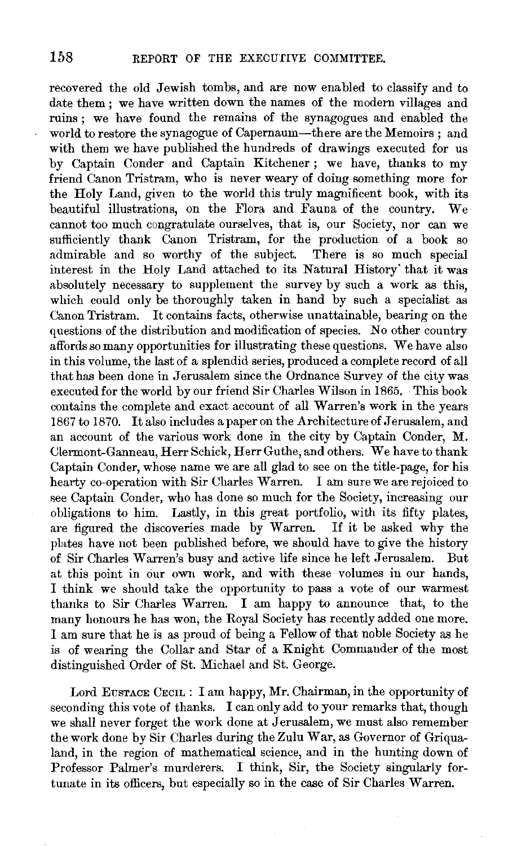recovered the old Jewish tombs, and are now enabled to classify and to date them : we have written down the names of the modern villages and ruins ; we have found the remains of the synagogues and enabled the world to restore the synagogue of Capernaum-there are the Memoirs ; and with them we have published the hundreds of drawings executed for us by Captain Conder and Captain Kitchener ; we have, thanks to my friend Canon Tristram, who is never weary of doing something more for the Holy Land, given to the world this truly magnificent book, with its<br>beautiful illustrations, on the Flora and Fauna of the country. We beautiful illustrations, on the Flora and Fauna of the country. cannot too much congratulate ourselves, that is, our Society, nor can we sufficiently thank Canon Tristram, for the production of a book so admirable and so worthy of the subject. There is so much special interest in the Holy Land attached to its Natural History' that it was absolutely necessary to supplement the survey by such a work as this, which could only be thoroughly taken in hand by such a specialist as Canon Tristram. It contains facts, otherwise unattainable, bearing on the questions of the distribution and modification of species. No other country affords so many opportunities for illustrating these questions. We have also in this volume, the last of a splendid series, produced a complete record of all that has been done in Jerusalem since the Ordnance Survey of the city was executed for the world by our friend Sir Charles Wilson in 1865. ·This book contains the complete and exact account of all Warren's work in the years 1867 to 1870. It also includes a paper on the Architecture of Jerusalem, and an account of the various work done in the city by Captain Conder, M. Clermont-Ganneau, Herr Schick, Herr Guthe, and others. We have to thank Captain Conder, whose name we are all glad to see on the title-page, for his hearty co-operation with Sir Charles Warren. I am sure we are rejoiced to see Captain Conder, who has done so much for the Society, increasing our obligations to him. Lastly, in this great portfolio, with its fifty plates, are figured the discoveries made by Warren. If it be asked why the plates have not been published before, we should have to give the history of Sir Charles Warren's busy and active life since he left Jerusalem. But at this point in our own work, and with these volumes in our hands, I think we should take the opportunity to pass a vote of our warmest thanks to Sir Charles Warren. I am happy to announce that, to the many honours he has won, the Royal Society has recently added one more. I am sure that he is as proud of being a Fellow of that noble Society as he is of wearing the Collar and Star of a Knight Commander of the most distinguished Order of St. Michael and St. George.

Lord EusTACE CECIL : I am happy, Mr. Chairman, in the opportunity of seconding this vote of thanks. I can only add to your remarks that, though we shall never forget the work done at Jerusalem, we must also remember the work done by Sir Charles during the Zulu War, as Governor of Griqualand, in the region of mathematical science, and in the hunting down of Professor Palmer's murderers. I think, Sir, the Society singularly fortunate in its officers, but especially so in the case of Sir Charles Warren.